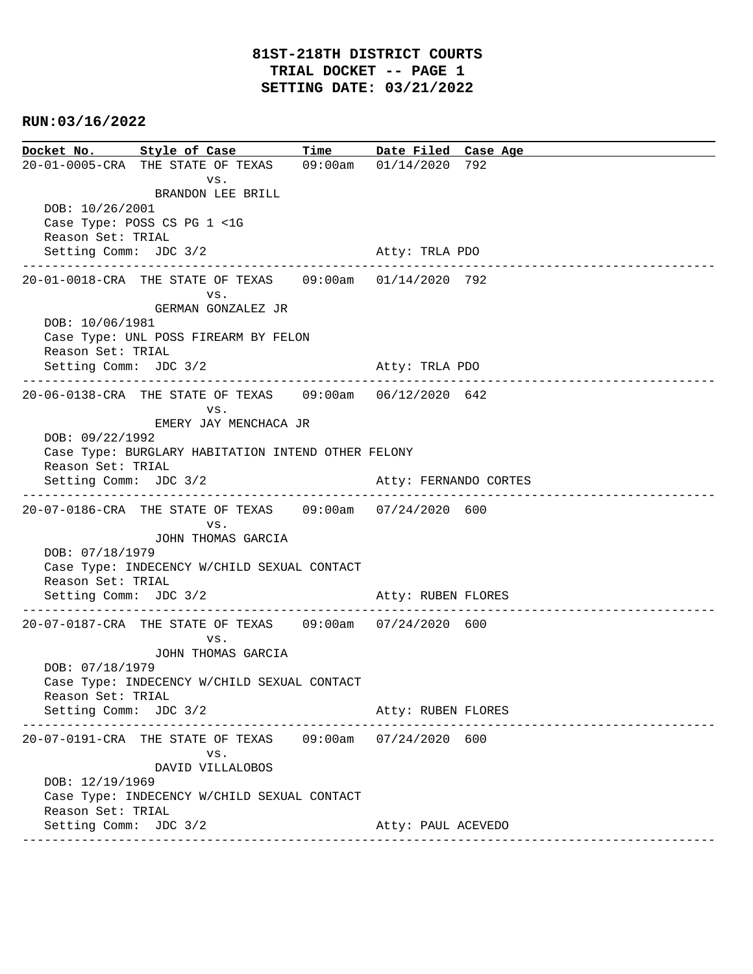**Docket No. Style of Case Time Date Filed Case Age**  20-01-0005-CRA THE STATE OF TEXAS 09:00am 01/14/2020 792 vs. BRANDON LEE BRILL DOB: 10/26/2001 Case Type: POSS CS PG 1 <1G Reason Set: TRIAL Setting Comm: JDC 3/2 Atty: TRLA PDO ---------------------------------------------------------------------------------------------- 20-01-0018-CRA THE STATE OF TEXAS 09:00am 01/14/2020 792 vs. GERMAN GONZALEZ JR DOB: 10/06/1981 Case Type: UNL POSS FIREARM BY FELON Reason Set: TRIAL Setting Comm: JDC 3/2 Atty: TRLA PDO ---------------------------------------------------------------------------------------------- 20-06-0138-CRA THE STATE OF TEXAS 09:00am 06/12/2020 642 vs. EMERY JAY MENCHACA JR DOB: 09/22/1992 Case Type: BURGLARY HABITATION INTEND OTHER FELONY Reason Set: TRIAL Setting Comm: JDC 3/2 Atty: FERNANDO CORTES ---------------------------------------------------------------------------------------------- 20-07-0186-CRA THE STATE OF TEXAS 09:00am 07/24/2020 600 vs. JOHN THOMAS GARCIA DOB: 07/18/1979 Case Type: INDECENCY W/CHILD SEXUAL CONTACT Reason Set: TRIAL Setting Comm: JDC 3/2 Atty: RUBEN FLORES ---------------------------------------------------------------------------------------------- 20-07-0187-CRA THE STATE OF TEXAS 09:00am 07/24/2020 600 vs. JOHN THOMAS GARCIA DOB: 07/18/1979 Case Type: INDECENCY W/CHILD SEXUAL CONTACT Reason Set: TRIAL Setting Comm: JDC 3/2 Atty: RUBEN FLORES ---------------------------------------------------------------------------------------------- 20-07-0191-CRA THE STATE OF TEXAS 09:00am 07/24/2020 600 vs. DAVID VILLALOBOS DOB: 12/19/1969 Case Type: INDECENCY W/CHILD SEXUAL CONTACT Reason Set: TRIAL Setting Comm: JDC 3/2 Atty: PAUL ACEVEDO ----------------------------------------------------------------------------------------------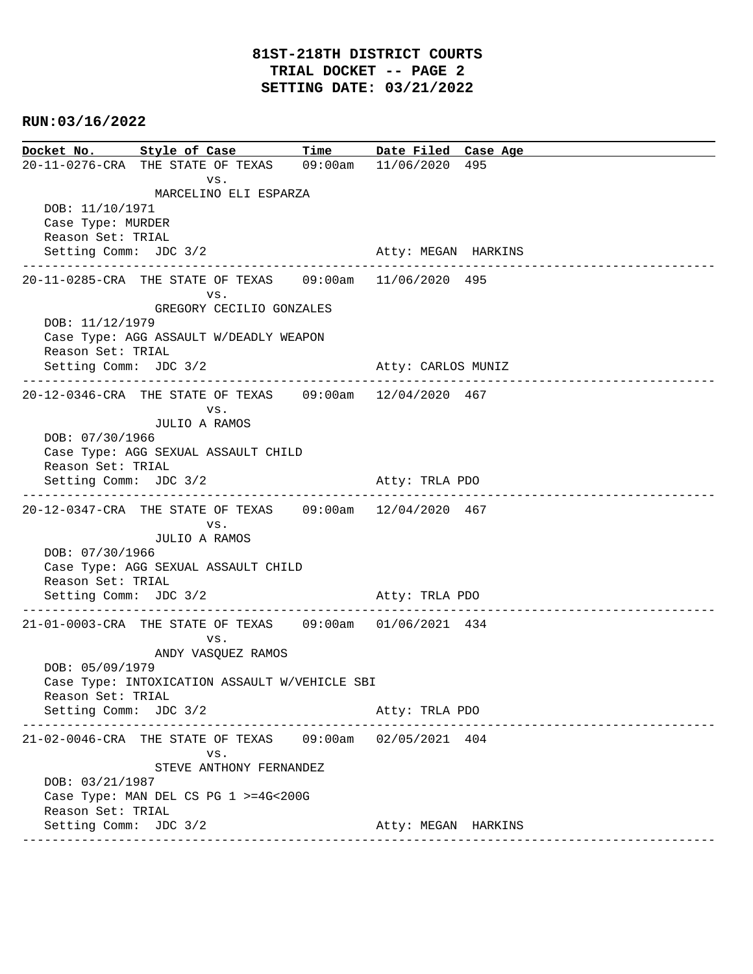**Docket No. Style of Case Time Date Filed Case Age**  20-11-0276-CRA THE STATE OF TEXAS 09:00am 11/06/2020 495 vs. MARCELINO ELI ESPARZA DOB: 11/10/1971 Case Type: MURDER Reason Set: TRIAL Setting Comm: JDC 3/2 Atty: MEGAN HARKINS ---------------------------------------------------------------------------------------------- 20-11-0285-CRA THE STATE OF TEXAS 09:00am 11/06/2020 495 vs. GREGORY CECILIO GONZALES DOB: 11/12/1979 Case Type: AGG ASSAULT W/DEADLY WEAPON Reason Set: TRIAL Setting Comm: JDC 3/2 Atty: CARLOS MUNIZ ---------------------------------------------------------------------------------------------- 20-12-0346-CRA THE STATE OF TEXAS 09:00am 12/04/2020 467 vs. JULIO A RAMOS DOB: 07/30/1966 Case Type: AGG SEXUAL ASSAULT CHILD Reason Set: TRIAL Setting Comm: JDC 3/2 Atty: TRLA PDO ---------------------------------------------------------------------------------------------- 20-12-0347-CRA THE STATE OF TEXAS 09:00am 12/04/2020 467 vs. JULIO A RAMOS DOB: 07/30/1966 Case Type: AGG SEXUAL ASSAULT CHILD Reason Set: TRIAL Setting Comm: JDC 3/2 Atty: TRLA PDO ---------------------------------------------------------------------------------------------- 21-01-0003-CRA THE STATE OF TEXAS 09:00am 01/06/2021 434 vs. ANDY VASQUEZ RAMOS DOB: 05/09/1979 Case Type: INTOXICATION ASSAULT W/VEHICLE SBI Reason Set: TRIAL Setting Comm: JDC 3/2 Atty: TRLA PDO ---------------------------------------------------------------------------------------------- 21-02-0046-CRA THE STATE OF TEXAS 09:00am 02/05/2021 404 vs. STEVE ANTHONY FERNANDEZ DOB: 03/21/1987 Case Type: MAN DEL CS PG 1 >=4G<200G Reason Set: TRIAL Setting Comm: JDC 3/2 Atty: MEGAN HARKINS ----------------------------------------------------------------------------------------------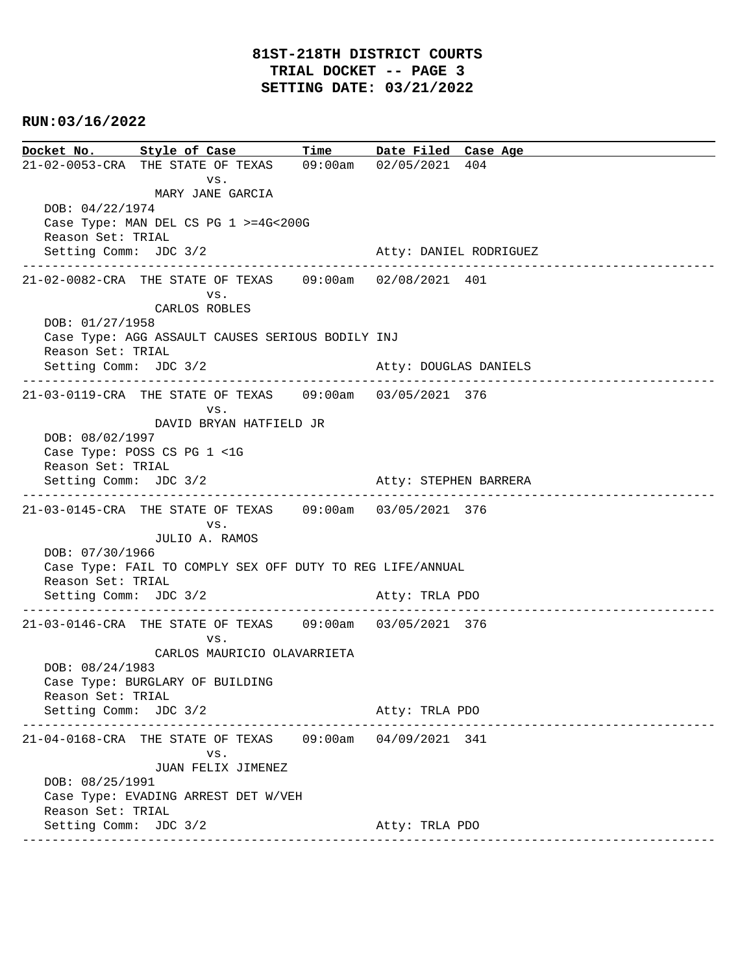**Docket No. Style of Case Time Date Filed Case Age**  21-02-0053-CRA THE STATE OF TEXAS 09:00am 02/05/2021 404 vs. MARY JANE GARCIA DOB: 04/22/1974 Case Type: MAN DEL CS PG 1 >=4G<200G Reason Set: TRIAL Setting Comm: JDC 3/2 Atty: DANIEL RODRIGUEZ ---------------------------------------------------------------------------------------------- 21-02-0082-CRA THE STATE OF TEXAS 09:00am 02/08/2021 401 vs. CARLOS ROBLES DOB: 01/27/1958 Case Type: AGG ASSAULT CAUSES SERIOUS BODILY INJ Reason Set: TRIAL Setting Comm: JDC 3/2 Atty: DOUGLAS DANIELS ---------------------------------------------------------------------------------------------- 21-03-0119-CRA THE STATE OF TEXAS 09:00am 03/05/2021 376 vs. DAVID BRYAN HATFIELD JR DOB: 08/02/1997 Case Type: POSS CS PG 1 <1G Reason Set: TRIAL Setting Comm: JDC 3/2 Atty: STEPHEN BARRERA ---------------------------------------------------------------------------------------------- 21-03-0145-CRA THE STATE OF TEXAS 09:00am 03/05/2021 376 vs. JULIO A. RAMOS DOB: 07/30/1966 Case Type: FAIL TO COMPLY SEX OFF DUTY TO REG LIFE/ANNUAL Reason Set: TRIAL Setting Comm: JDC 3/2 Atty: TRLA PDO ---------------------------------------------------------------------------------------------- 21-03-0146-CRA THE STATE OF TEXAS 09:00am 03/05/2021 376 vs. CARLOS MAURICIO OLAVARRIETA DOB: 08/24/1983 Case Type: BURGLARY OF BUILDING Reason Set: TRIAL Setting Comm: JDC 3/2 Atty: TRLA PDO ---------------------------------------------------------------------------------------------- 21-04-0168-CRA THE STATE OF TEXAS 09:00am 04/09/2021 341 vs. JUAN FELIX JIMENEZ DOB: 08/25/1991 Case Type: EVADING ARREST DET W/VEH Reason Set: TRIAL Setting Comm: JDC 3/2 Atty: TRLA PDO ----------------------------------------------------------------------------------------------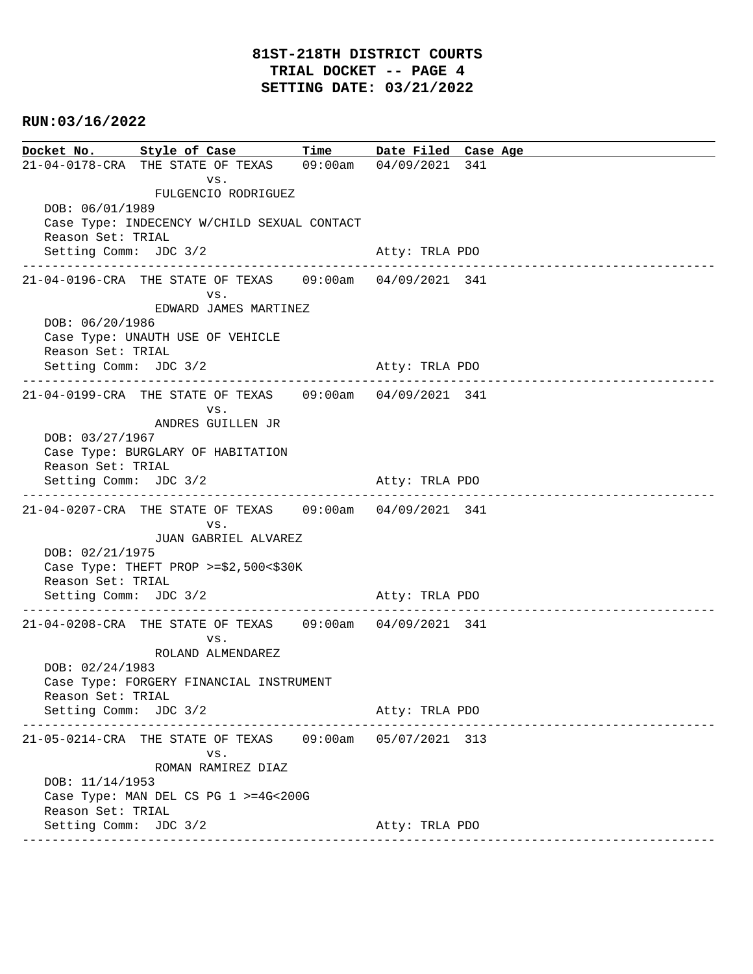|                       | Docket No. Style of Case Time Date Filed Case Age               |  |                |                                 |  |  |
|-----------------------|-----------------------------------------------------------------|--|----------------|---------------------------------|--|--|
|                       | 21-04-0178-CRA THE STATE OF TEXAS 09:00am 04/09/2021 341        |  |                |                                 |  |  |
|                       | VS.                                                             |  |                |                                 |  |  |
|                       | FULGENCIO RODRIGUEZ                                             |  |                |                                 |  |  |
| DOB: 06/01/1989       |                                                                 |  |                |                                 |  |  |
|                       | Case Type: INDECENCY W/CHILD SEXUAL CONTACT                     |  |                |                                 |  |  |
| Reason Set: TRIAL     |                                                                 |  |                |                                 |  |  |
| Setting Comm: JDC 3/2 |                                                                 |  | Atty: TRLA PDO |                                 |  |  |
|                       | 21-04-0196-CRA THE STATE OF TEXAS 09:00am 04/09/2021 341        |  |                |                                 |  |  |
|                       | VS.                                                             |  |                |                                 |  |  |
|                       | EDWARD JAMES MARTINEZ                                           |  |                |                                 |  |  |
| DOB: 06/20/1986       |                                                                 |  |                |                                 |  |  |
|                       | Case Type: UNAUTH USE OF VEHICLE                                |  |                |                                 |  |  |
| Reason Set: TRIAL     |                                                                 |  |                |                                 |  |  |
| Setting Comm: JDC 3/2 |                                                                 |  | Atty: TRLA PDO |                                 |  |  |
|                       |                                                                 |  |                |                                 |  |  |
|                       | 21-04-0199-CRA THE STATE OF TEXAS 09:00am 04/09/2021 341<br>VS. |  |                |                                 |  |  |
|                       | ANDRES GUILLEN JR                                               |  |                |                                 |  |  |
| DOB: 03/27/1967       |                                                                 |  |                |                                 |  |  |
|                       | Case Type: BURGLARY OF HABITATION                               |  |                |                                 |  |  |
| Reason Set: TRIAL     |                                                                 |  |                |                                 |  |  |
| Setting Comm: JDC 3/2 |                                                                 |  | Atty: TRLA PDO |                                 |  |  |
|                       |                                                                 |  |                |                                 |  |  |
|                       | 21-04-0207-CRA THE STATE OF TEXAS 09:00am 04/09/2021 341        |  |                |                                 |  |  |
|                       | VS.<br>JUAN GABRIEL ALVAREZ                                     |  |                |                                 |  |  |
| DOB: 02/21/1975       |                                                                 |  |                |                                 |  |  |
|                       | Case Type: THEFT PROP >= $$2,500<$30K$                          |  |                |                                 |  |  |
| Reason Set: TRIAL     |                                                                 |  |                |                                 |  |  |
| Setting Comm: JDC 3/2 |                                                                 |  | Atty: TRLA PDO |                                 |  |  |
|                       |                                                                 |  |                |                                 |  |  |
|                       | 21-04-0208-CRA THE STATE OF TEXAS 09:00am 04/09/2021 341        |  |                |                                 |  |  |
|                       | VS.                                                             |  |                |                                 |  |  |
|                       | ROLAND ALMENDAREZ                                               |  |                |                                 |  |  |
| DOB: 02/24/1983       |                                                                 |  |                |                                 |  |  |
| Reason Set: TRIAL     | Case Type: FORGERY FINANCIAL INSTRUMENT                         |  |                |                                 |  |  |
| Setting Comm: JDC 3/2 |                                                                 |  | Atty: TRLA PDO |                                 |  |  |
| -----------------     | ________________________________                                |  |                | ------------------------------- |  |  |
|                       | 21-05-0214-CRA THE STATE OF TEXAS  09:00am  05/07/2021  313     |  |                |                                 |  |  |
|                       | VS.                                                             |  |                |                                 |  |  |
|                       | ROMAN RAMIREZ DIAZ                                              |  |                |                                 |  |  |
| DOB: 11/14/1953       |                                                                 |  |                |                                 |  |  |
|                       | Case Type: MAN DEL CS PG 1 >=4G<200G                            |  |                |                                 |  |  |
| Reason Set: TRIAL     |                                                                 |  |                |                                 |  |  |
| Setting Comm: JDC 3/2 |                                                                 |  | Atty: TRLA PDO |                                 |  |  |
|                       |                                                                 |  |                |                                 |  |  |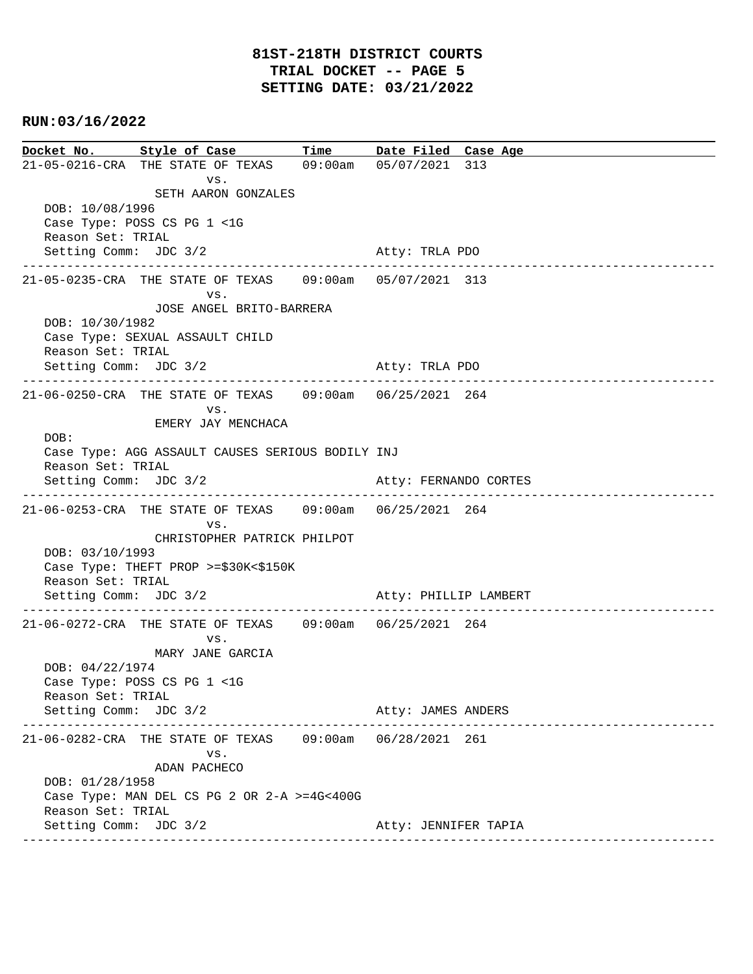**Docket No. Style of Case Time Date Filed Case Age**  21-05-0216-CRA THE STATE OF TEXAS 09:00am 05/07/2021 313 vs. SETH AARON GONZALES DOB: 10/08/1996 Case Type: POSS CS PG 1 <1G Reason Set: TRIAL Setting Comm: JDC 3/2 Atty: TRLA PDO ---------------------------------------------------------------------------------------------- 21-05-0235-CRA THE STATE OF TEXAS 09:00am 05/07/2021 313 vs. JOSE ANGEL BRITO-BARRERA DOB: 10/30/1982 Case Type: SEXUAL ASSAULT CHILD Reason Set: TRIAL Setting Comm: JDC 3/2 Atty: TRLA PDO ---------------------------------------------------------------------------------------------- 21-06-0250-CRA THE STATE OF TEXAS 09:00am 06/25/2021 264 vs. EMERY JAY MENCHACA DOB: Case Type: AGG ASSAULT CAUSES SERIOUS BODILY INJ Reason Set: TRIAL Setting Comm: JDC 3/2 Atty: FERNANDO CORTES ---------------------------------------------------------------------------------------------- 21-06-0253-CRA THE STATE OF TEXAS 09:00am 06/25/2021 264 vs. CHRISTOPHER PATRICK PHILPOT DOB: 03/10/1993 Case Type: THEFT PROP >=\$30K<\$150K Reason Set: TRIAL Setting Comm: JDC 3/2 Atty: PHILLIP LAMBERT ---------------------------------------------------------------------------------------------- 21-06-0272-CRA THE STATE OF TEXAS 09:00am 06/25/2021 264 vs. MARY JANE GARCIA DOB: 04/22/1974 Case Type: POSS CS PG 1 <1G Reason Set: TRIAL Setting Comm: JDC 3/2 Atty: JAMES ANDERS ---------------------------------------------------------------------------------------------- 21-06-0282-CRA THE STATE OF TEXAS 09:00am 06/28/2021 261 vs. ADAN PACHECO DOB: 01/28/1958 Case Type: MAN DEL CS PG 2 OR 2-A >=4G<400G Reason Set: TRIAL Setting Comm: JDC 3/2 Atty: JENNIFER TAPIA ----------------------------------------------------------------------------------------------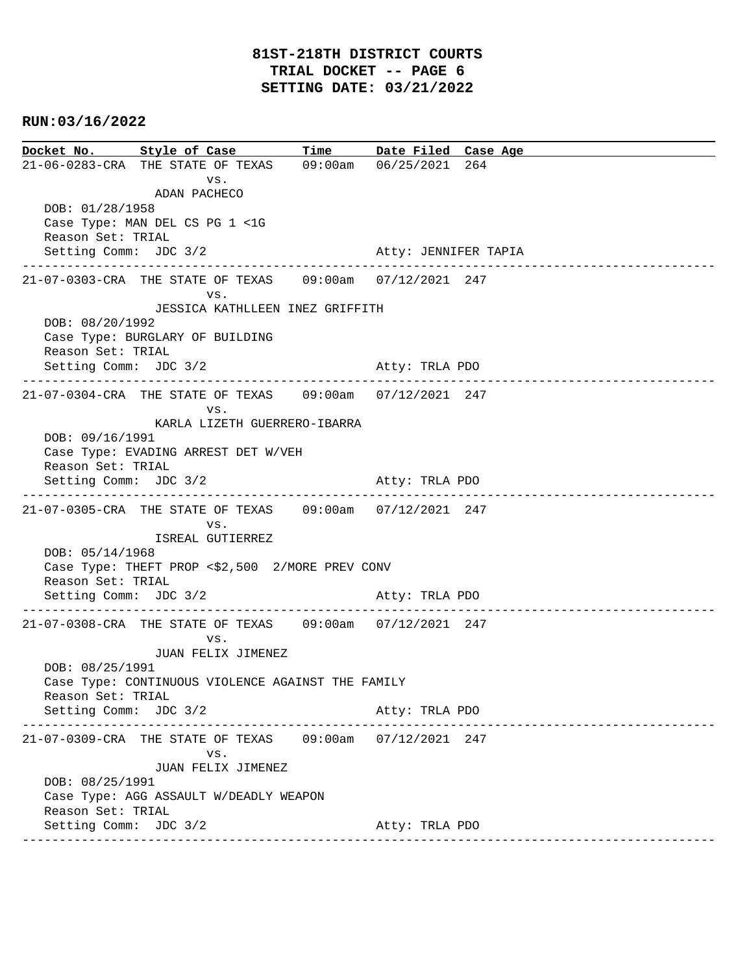**Docket No. Style of Case Time Date Filed Case Age**  21-06-0283-CRA THE STATE OF TEXAS 09:00am 06/25/2021 264 vs. ADAN PACHECO DOB: 01/28/1958 Case Type: MAN DEL CS PG 1 <1G Reason Set: TRIAL Setting Comm: JDC 3/2 Atty: JENNIFER TAPIA ---------------------------------------------------------------------------------------------- 21-07-0303-CRA THE STATE OF TEXAS 09:00am 07/12/2021 247 vs. JESSICA KATHLLEEN INEZ GRIFFITH DOB: 08/20/1992 Case Type: BURGLARY OF BUILDING Reason Set: TRIAL Setting Comm: JDC 3/2 Atty: TRLA PDO ---------------------------------------------------------------------------------------------- 21-07-0304-CRA THE STATE OF TEXAS 09:00am 07/12/2021 247 vs. KARLA LIZETH GUERRERO-IBARRA DOB: 09/16/1991 Case Type: EVADING ARREST DET W/VEH Reason Set: TRIAL Setting Comm: JDC 3/2 Atty: TRLA PDO ---------------------------------------------------------------------------------------------- 21-07-0305-CRA THE STATE OF TEXAS 09:00am 07/12/2021 247 vs. ISREAL GUTIERREZ DOB: 05/14/1968 Case Type: THEFT PROP <\$2,500 2/MORE PREV CONV Reason Set: TRIAL Setting Comm: JDC 3/2 Atty: TRLA PDO ---------------------------------------------------------------------------------------------- 21-07-0308-CRA THE STATE OF TEXAS 09:00am 07/12/2021 247 vs. JUAN FELIX JIMENEZ DOB: 08/25/1991 Case Type: CONTINUOUS VIOLENCE AGAINST THE FAMILY Reason Set: TRIAL Setting Comm: JDC 3/2 Atty: TRLA PDO ---------------------------------------------------------------------------------------------- 21-07-0309-CRA THE STATE OF TEXAS 09:00am 07/12/2021 247 vs. JUAN FELIX JIMENEZ DOB: 08/25/1991 Case Type: AGG ASSAULT W/DEADLY WEAPON Reason Set: TRIAL Setting Comm: JDC 3/2 Atty: TRLA PDO ----------------------------------------------------------------------------------------------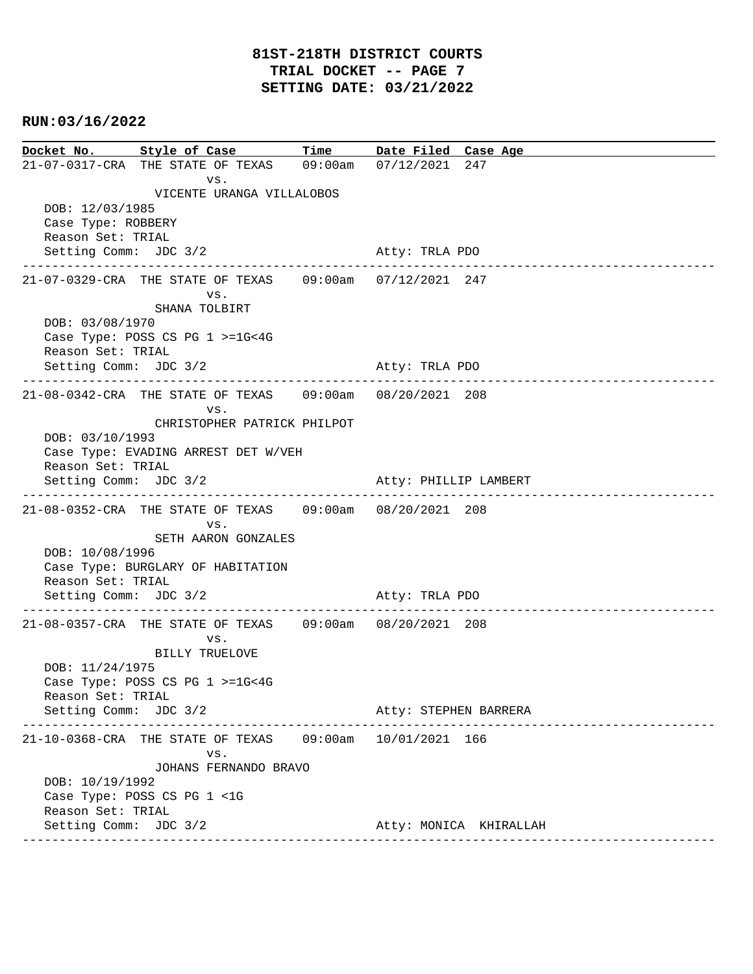**Docket No. Style of Case Time Date Filed Case Age**  21-07-0317-CRA THE STATE OF TEXAS 09:00am 07/12/2021 247 vs. VICENTE URANGA VILLALOBOS DOB: 12/03/1985 Case Type: ROBBERY Reason Set: TRIAL Setting Comm: JDC 3/2 Atty: TRLA PDO ---------------------------------------------------------------------------------------------- 21-07-0329-CRA THE STATE OF TEXAS 09:00am 07/12/2021 247 vs. SHANA TOLBIRT DOB: 03/08/1970 Case Type: POSS CS PG 1 >=1G<4G Reason Set: TRIAL Setting Comm: JDC 3/2 Atty: TRLA PDO ---------------------------------------------------------------------------------------------- 21-08-0342-CRA THE STATE OF TEXAS 09:00am 08/20/2021 208 vs. CHRISTOPHER PATRICK PHILPOT DOB: 03/10/1993 Case Type: EVADING ARREST DET W/VEH Reason Set: TRIAL Setting Comm: JDC 3/2 Atty: PHILLIP LAMBERT ---------------------------------------------------------------------------------------------- 21-08-0352-CRA THE STATE OF TEXAS 09:00am 08/20/2021 208 vs. SETH AARON GONZALES DOB: 10/08/1996 Case Type: BURGLARY OF HABITATION Reason Set: TRIAL Setting Comm: JDC 3/2 Atty: TRLA PDO ---------------------------------------------------------------------------------------------- 21-08-0357-CRA THE STATE OF TEXAS 09:00am 08/20/2021 208 vs. BILLY TRUELOVE DOB: 11/24/1975 Case Type: POSS CS PG 1 >=1G<4G Reason Set: TRIAL Setting Comm: JDC 3/2 Atty: STEPHEN BARRERA ---------------------------------------------------------------------------------------------- 21-10-0368-CRA THE STATE OF TEXAS 09:00am 10/01/2021 166 vs. JOHANS FERNANDO BRAVO DOB: 10/19/1992 Case Type: POSS CS PG 1 <1G Reason Set: TRIAL Setting Comm: JDC 3/2 Atty: MONICA KHIRALLAH ----------------------------------------------------------------------------------------------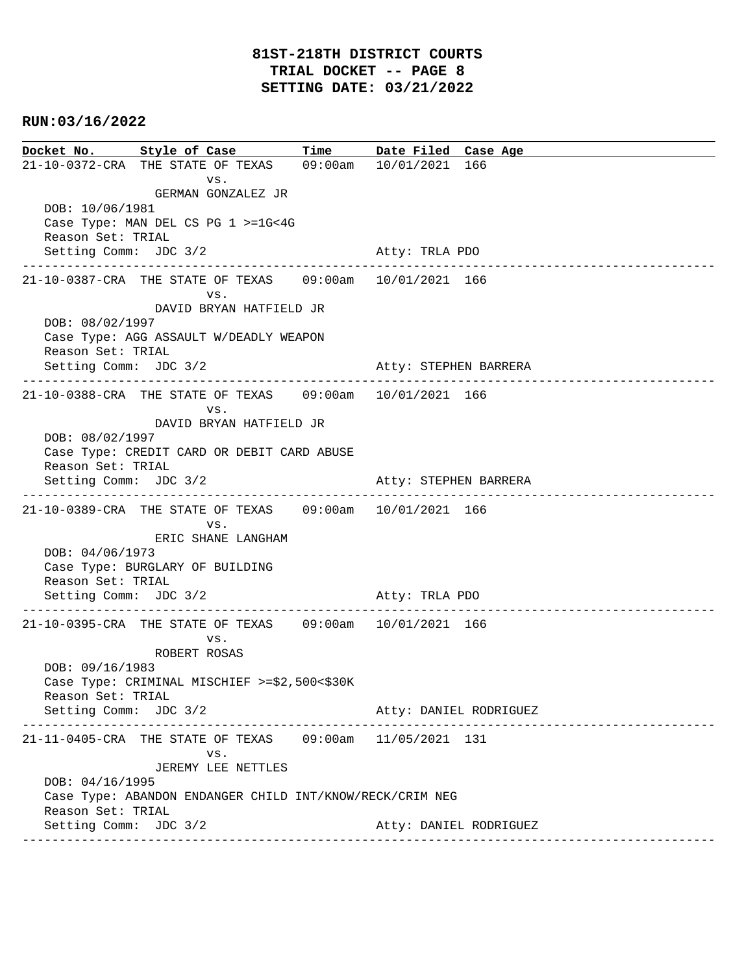**Docket No. Style of Case Time Date Filed Case Age**  21-10-0372-CRA THE STATE OF TEXAS 09:00am 10/01/2021 166 vs. GERMAN GONZALEZ JR DOB: 10/06/1981 Case Type: MAN DEL CS PG 1 >=1G<4G Reason Set: TRIAL Setting Comm: JDC 3/2 Atty: TRLA PDO ---------------------------------------------------------------------------------------------- 21-10-0387-CRA THE STATE OF TEXAS 09:00am 10/01/2021 166 vs. DAVID BRYAN HATFIELD JR DOB: 08/02/1997 Case Type: AGG ASSAULT W/DEADLY WEAPON Reason Set: TRIAL Setting Comm: JDC 3/2 Atty: STEPHEN BARRERA ---------------------------------------------------------------------------------------------- 21-10-0388-CRA THE STATE OF TEXAS 09:00am 10/01/2021 166 vs. DAVID BRYAN HATFIELD JR DOB: 08/02/1997 Case Type: CREDIT CARD OR DEBIT CARD ABUSE Reason Set: TRIAL Setting Comm: JDC 3/2 Atty: STEPHEN BARRERA ---------------------------------------------------------------------------------------------- 21-10-0389-CRA THE STATE OF TEXAS 09:00am 10/01/2021 166 vs. ERIC SHANE LANGHAM DOB: 04/06/1973 Case Type: BURGLARY OF BUILDING Reason Set: TRIAL Setting Comm: JDC 3/2 Atty: TRLA PDO ---------------------------------------------------------------------------------------------- 21-10-0395-CRA THE STATE OF TEXAS 09:00am 10/01/2021 166 vs. ROBERT ROSAS DOB: 09/16/1983 Case Type: CRIMINAL MISCHIEF >=\$2,500<\$30K Reason Set: TRIAL Setting Comm: JDC 3/2 Atty: DANIEL RODRIGUEZ ---------------------------------------------------------------------------------------------- 21-11-0405-CRA THE STATE OF TEXAS 09:00am 11/05/2021 131 vs. JEREMY LEE NETTLES DOB: 04/16/1995 Case Type: ABANDON ENDANGER CHILD INT/KNOW/RECK/CRIM NEG Reason Set: TRIAL Setting Comm: JDC 3/2 Atty: DANIEL RODRIGUEZ ----------------------------------------------------------------------------------------------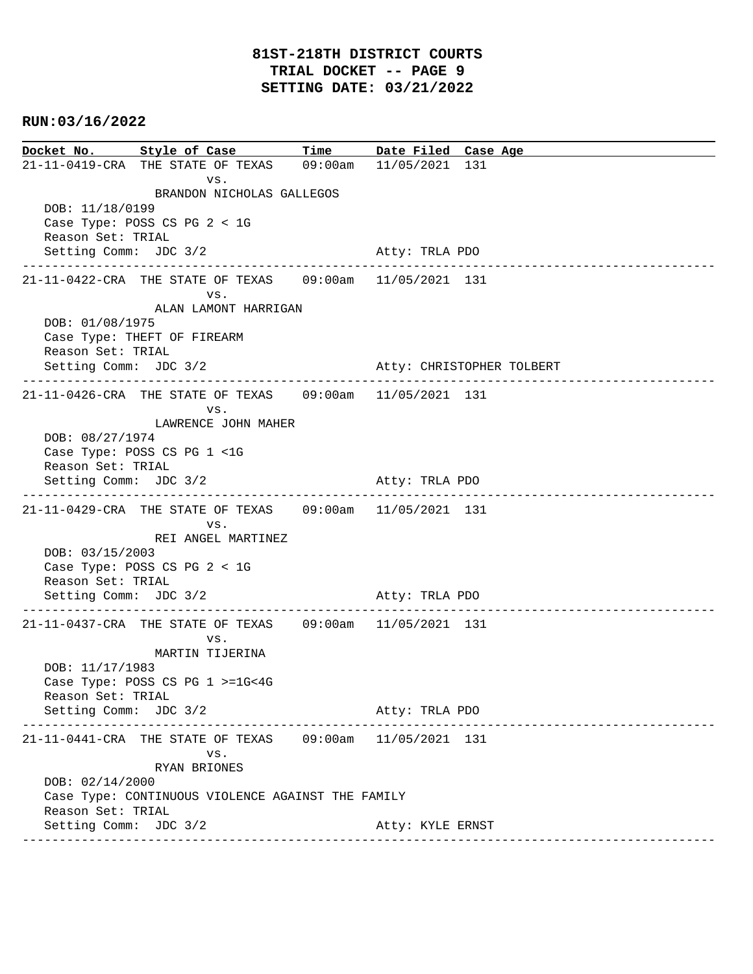**Docket No. Style of Case Time Date Filed Case Age**  21-11-0419-CRA THE STATE OF TEXAS 09:00am 11/05/2021 131 vs. BRANDON NICHOLAS GALLEGOS DOB: 11/18/0199 Case Type: POSS CS PG 2 < 1G Reason Set: TRIAL Setting Comm: JDC 3/2 Atty: TRLA PDO ---------------------------------------------------------------------------------------------- 21-11-0422-CRA THE STATE OF TEXAS 09:00am 11/05/2021 131 vs. ALAN LAMONT HARRIGAN DOB: 01/08/1975 Case Type: THEFT OF FIREARM Reason Set: TRIAL Setting Comm: JDC 3/2 Atty: CHRISTOPHER TOLBERT ---------------------------------------------------------------------------------------------- 21-11-0426-CRA THE STATE OF TEXAS 09:00am 11/05/2021 131 vs. LAWRENCE JOHN MAHER DOB: 08/27/1974 Case Type: POSS CS PG 1 <1G Reason Set: TRIAL Setting Comm: JDC 3/2 Atty: TRLA PDO ---------------------------------------------------------------------------------------------- 21-11-0429-CRA THE STATE OF TEXAS 09:00am 11/05/2021 131 vs. REI ANGEL MARTINEZ DOB: 03/15/2003 Case Type: POSS CS PG 2 < 1G Reason Set: TRIAL Setting Comm: JDC 3/2 Atty: TRLA PDO ---------------------------------------------------------------------------------------------- 21-11-0437-CRA THE STATE OF TEXAS 09:00am 11/05/2021 131 vs. MARTIN TIJERINA DOB: 11/17/1983 Case Type: POSS CS PG 1 >=1G<4G Reason Set: TRIAL Setting Comm: JDC 3/2 Atty: TRLA PDO ---------------------------------------------------------------------------------------------- 21-11-0441-CRA THE STATE OF TEXAS 09:00am 11/05/2021 131 vs. RYAN BRIONES DOB: 02/14/2000 Case Type: CONTINUOUS VIOLENCE AGAINST THE FAMILY Reason Set: TRIAL Setting Comm: JDC 3/2 Atty: KYLE ERNST ----------------------------------------------------------------------------------------------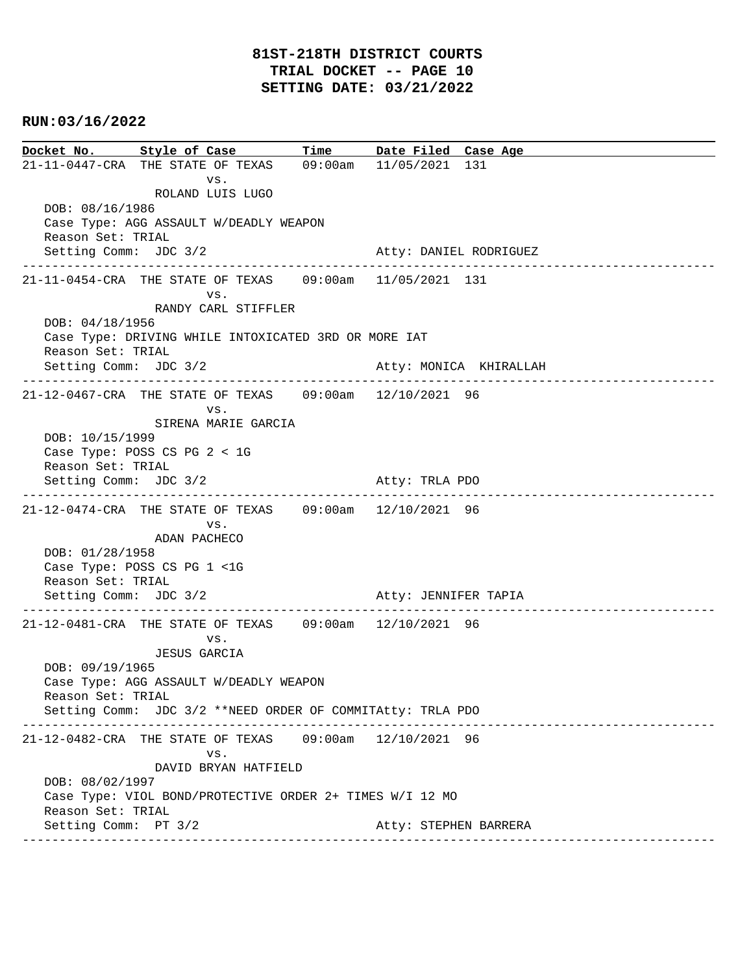**Docket No. Style of Case Time Date Filed Case Age**  21-11-0447-CRA THE STATE OF TEXAS 09:00am 11/05/2021 131 vs. ROLAND LUIS LUGO DOB: 08/16/1986 Case Type: AGG ASSAULT W/DEADLY WEAPON Reason Set: TRIAL Setting Comm: JDC 3/2 Atty: DANIEL RODRIGUEZ ---------------------------------------------------------------------------------------------- 21-11-0454-CRA THE STATE OF TEXAS 09:00am 11/05/2021 131 vs. RANDY CARL STIFFLER DOB: 04/18/1956 Case Type: DRIVING WHILE INTOXICATED 3RD OR MORE IAT Reason Set: TRIAL Setting Comm: JDC 3/2 Atty: MONICA KHIRALLAH ---------------------------------------------------------------------------------------------- 21-12-0467-CRA THE STATE OF TEXAS 09:00am 12/10/2021 96 vs. SIRENA MARIE GARCIA DOB: 10/15/1999 Case Type: POSS CS PG 2 < 1G Reason Set: TRIAL Setting Comm: JDC 3/2 Atty: TRLA PDO ---------------------------------------------------------------------------------------------- 21-12-0474-CRA THE STATE OF TEXAS 09:00am 12/10/2021 96 vs. ADAN PACHECO DOB: 01/28/1958 Case Type: POSS CS PG 1 <1G Reason Set: TRIAL Setting Comm: JDC 3/2 Atty: JENNIFER TAPIA ---------------------------------------------------------------------------------------------- 21-12-0481-CRA THE STATE OF TEXAS 09:00am 12/10/2021 96 vs. JESUS GARCIA DOB: 09/19/1965 Case Type: AGG ASSAULT W/DEADLY WEAPON Reason Set: TRIAL Setting Comm: JDC 3/2 \*\*NEED ORDER OF COMMITAtty: TRLA PDO ---------------------------------------------------------------------------------------------- 21-12-0482-CRA THE STATE OF TEXAS 09:00am 12/10/2021 96 vs. DAVID BRYAN HATFIELD DOB: 08/02/1997 Case Type: VIOL BOND/PROTECTIVE ORDER 2+ TIMES W/I 12 MO Reason Set: TRIAL Setting Comm: PT 3/2 Atty: STEPHEN BARRERA ----------------------------------------------------------------------------------------------